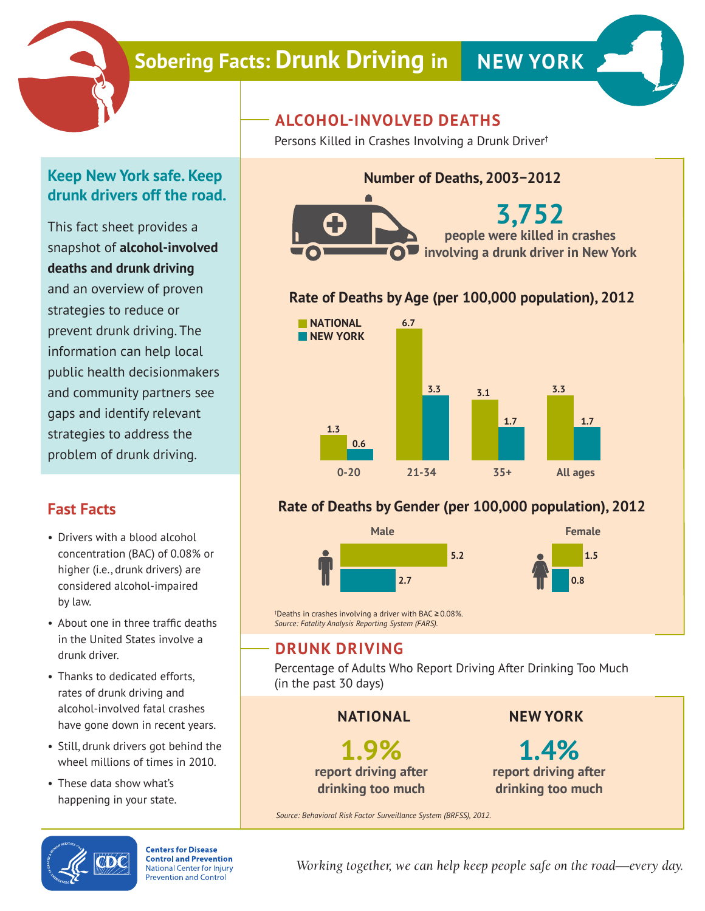

# **Sobering Facts: Drunk Driving in NEW YORK**



## **Keep New York safe. Keep drunk drivers off the road.**

This fact sheet provides a snapshot of **alcohol-involved deaths and drunk driving** and an overview of proven strategies to reduce or prevent drunk driving. The information can help local public health decisionmakers and community partners see gaps and identify relevant strategies to address the problem of drunk driving.

# **Fast Facts**

- Drivers with a blood alcohol concentration (BAC) of 0.08% or higher (i.e., drunk drivers) are considered alcohol-impaired by law.
- About one in three traffic deaths in the United States involve a drunk driver.
- Thanks to dedicated efforts, rates of drunk driving and alcohol-involved fatal crashes have gone down in recent years.
- Still, drunk drivers got behind the wheel millions of times in 2010.
- These data show what's happening in your state.

# **ALCOHOL-INVOLVED DEATHS**

Persons Killed in Crashes Involving a Drunk Driver†

# **Number of Deaths, 2003−2012**



### **Rate of Deaths by Age (per 100,000 population), 2012**



### **Rate of Deaths by Gender (per 100,000 population), 2012**



† Deaths in crashes involving a driver with BAC ≥ 0.08%. *Source: Fatality Analysis Reporting System (FARS).*

# **DRUNK DRIVING**

Percentage of Adults Who Report Driving After Drinking Too Much (in the past 30 days)

#### **NATIONAL**

**1.9% report driving after drinking too much**

**NEW YORK**

**1.4% report driving after drinking too much**

*Source: Behavioral Risk Factor Surveillance System (BRFSS), 2012.*



**Centers for Disease Control and Prevention National Center for Injury Prevention and Control** 

*Working together, we can help keep people safe on the road—every day.*